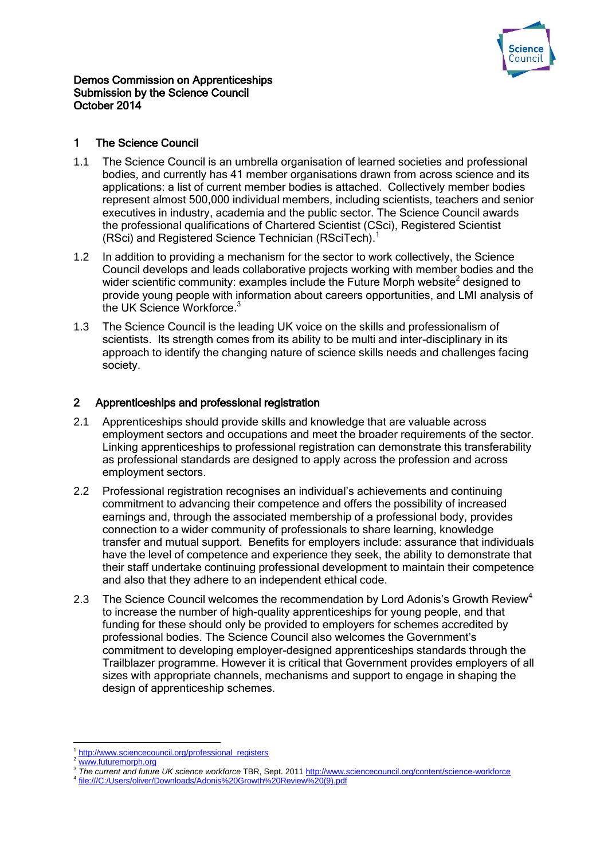

### Demos Commission on Apprenticeships Submission by the Science Council October 2014

## 1 The Science Council

- 1.1 The Science Council is an umbrella organisation of learned societies and professional bodies, and currently has 41 member organisations drawn from across science and its applications: a list of current member bodies is attached. Collectively member bodies represent almost 500,000 individual members, including scientists, teachers and senior executives in industry, academia and the public sector. The Science Council awards the professional qualifications of Chartered Scientist (CSci), Registered Scientist (RSci) and Registered Science Technician (RSciTech).<sup>1</sup>
- 1.2 In addition to providing a mechanism for the sector to work collectively, the Science Council develops and leads collaborative projects working with member bodies and the wider scientific community: examples include the Future Morph website<sup>2</sup> designed to provide young people with information about careers opportunities, and LMI analysis of the UK Science Workforce.<sup>3</sup>
- 1.3 The Science Council is the leading UK voice on the skills and professionalism of scientists. Its strength comes from its ability to be multi and inter-disciplinary in its approach to identify the changing nature of science skills needs and challenges facing society.

# 2 Apprenticeships and professional registration

- 2.1 Apprenticeships should provide skills and knowledge that are valuable across employment sectors and occupations and meet the broader requirements of the sector. Linking apprenticeships to professional registration can demonstrate this transferability as professional standards are designed to apply across the profession and across employment sectors.
- 2.2 Professional registration recognises an individual's achievements and continuing commitment to advancing their competence and offers the possibility of increased earnings and, through the associated membership of a professional body, provides connection to a wider community of professionals to share learning, knowledge transfer and mutual support. Benefits for employers include: assurance that individuals have the level of competence and experience they seek, the ability to demonstrate that their staff undertake continuing professional development to maintain their competence and also that they adhere to an independent ethical code.
- 2.3 The Science Council welcomes the recommendation by Lord Adonis's Growth Review<sup>4</sup> to increase the number of high-quality apprenticeships for young people, and that funding for these should only be provided to employers for schemes accredited by professional bodies. The Science Council also welcomes the Government's commitment to developing employer-designed apprenticeships standards through the Trailblazer programme. However it is critical that Government provides employers of all sizes with appropriate channels, mechanisms and support to engage in shaping the design of apprenticeship schemes.

**.** 

<sup>1</sup> [http://www.sciencecouncil.org/professional\\_registers](http://www.sciencecouncil.org/professional_registers)

[www.futuremorph.org](http://www.futuremorph.org/)

<sup>3</sup> *The current and future UK science workforce* TBR, Sept. 201[1 http://www.sciencecouncil.org/content/science-workforce](http://www.sciencecouncil.org/content/science-workforce)

<sup>4</sup> [file:///C:/Users/oliver/Downloads/Adonis%20Growth%20Review%20\(9\).pdf](file:///C:/Users/oliver/Downloads/Adonis%20Growth%20Review%20(9).pdf)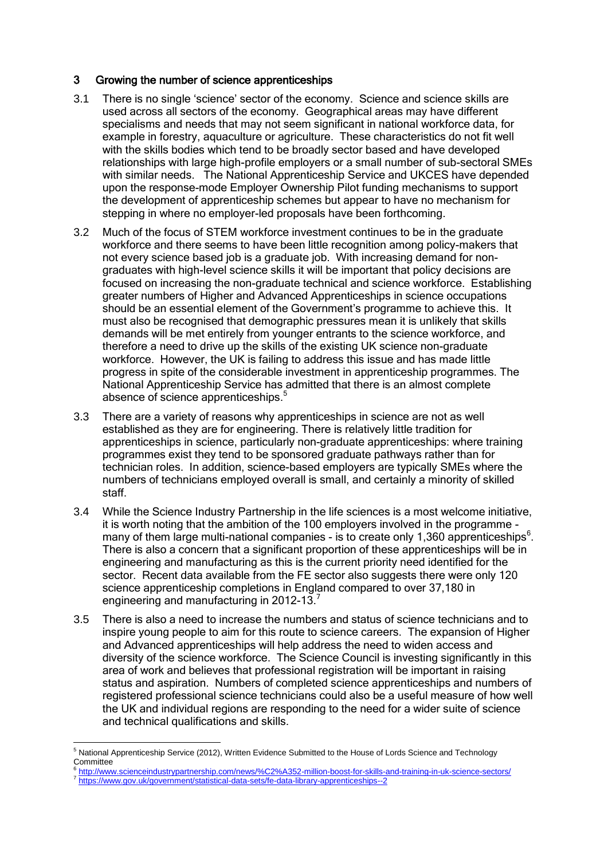### 3 Growing the number of science apprenticeships

- 3.1 There is no single 'science' sector of the economy. Science and science skills are used across all sectors of the economy. Geographical areas may have different specialisms and needs that may not seem significant in national workforce data, for example in forestry, aquaculture or agriculture. These characteristics do not fit well with the skills bodies which tend to be broadly sector based and have developed relationships with large high-profile employers or a small number of sub-sectoral SMEs with similar needs. The National Apprenticeship Service and UKCES have depended upon the response-mode Employer Ownership Pilot funding mechanisms to support the development of apprenticeship schemes but appear to have no mechanism for stepping in where no employer-led proposals have been forthcoming.
- 3.2 Much of the focus of STEM workforce investment continues to be in the graduate workforce and there seems to have been little recognition among policy-makers that not every science based job is a graduate job. With increasing demand for nongraduates with high-level science skills it will be important that policy decisions are focused on increasing the non-graduate technical and science workforce. Establishing greater numbers of Higher and Advanced Apprenticeships in science occupations should be an essential element of the Government's programme to achieve this. It must also be recognised that demographic pressures mean it is unlikely that skills demands will be met entirely from younger entrants to the science workforce, and therefore a need to drive up the skills of the existing UK science non-graduate workforce. However, the UK is failing to address this issue and has made little progress in spite of the considerable investment in apprenticeship programmes. The National Apprenticeship Service has admitted that there is an almost complete absence of science apprenticeships.<sup>5</sup>
- 3.3 There are a variety of reasons why apprenticeships in science are not as well established as they are for engineering. There is relatively little tradition for apprenticeships in science, particularly non-graduate apprenticeships: where training programmes exist they tend to be sponsored graduate pathways rather than for technician roles. In addition, science-based employers are typically SMEs where the numbers of technicians employed overall is small, and certainly a minority of skilled staff.
- 3.4 While the Science Industry Partnership in the life sciences is a most welcome initiative, it is worth noting that the ambition of the 100 employers involved in the programme many of them large multi-national companies - is to create only 1,360 apprenticeships<sup>6</sup>. There is also a concern that a significant proportion of these apprenticeships will be in engineering and manufacturing as this is the current priority need identified for the sector. Recent data available from the FE sector also suggests there were only 120 science apprenticeship completions in England compared to over 37,180 in engineering and manufacturing in 2012-13.<sup>7</sup>
- 3.5 There is also a need to increase the numbers and status of science technicians and to inspire young people to aim for this route to science careers. The expansion of Higher and Advanced apprenticeships will help address the need to widen access and diversity of the science workforce. The Science Council is investing significantly in this area of work and believes that professional registration will be important in raising status and aspiration. Numbers of completed science apprenticeships and numbers of registered professional science technicians could also be a useful measure of how well the UK and individual regions are responding to the need for a wider suite of science and technical qualifications and skills.

**.** 

6 <http://www.scienceindustrypartnership.com/news/%C2%A352-million-boost-for-skills-and-training-in-uk-science-sectors/> <sup>7</sup> <https://www.gov.uk/government/statistical-data-sets/fe-data-library-apprenticeships--2>

National Apprenticeship Service (2012), Written Evidence Submitted to the House of Lords Science and Technology **Committee**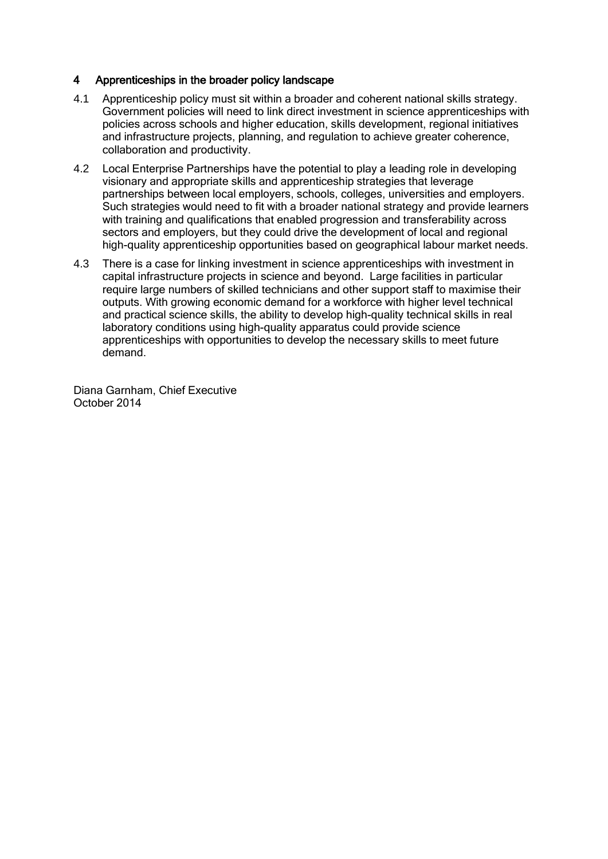# 4 Apprenticeships in the broader policy landscape

- 4.1 Apprenticeship policy must sit within a broader and coherent national skills strategy. Government policies will need to link direct investment in science apprenticeships with policies across schools and higher education, skills development, regional initiatives and infrastructure projects, planning, and regulation to achieve greater coherence, collaboration and productivity.
- 4.2 Local Enterprise Partnerships have the potential to play a leading role in developing visionary and appropriate skills and apprenticeship strategies that leverage partnerships between local employers, schools, colleges, universities and employers. Such strategies would need to fit with a broader national strategy and provide learners with training and qualifications that enabled progression and transferability across sectors and employers, but they could drive the development of local and regional high-quality apprenticeship opportunities based on geographical labour market needs.
- 4.3 There is a case for linking investment in science apprenticeships with investment in capital infrastructure projects in science and beyond. Large facilities in particular require large numbers of skilled technicians and other support staff to maximise their outputs. With growing economic demand for a workforce with higher level technical and practical science skills, the ability to develop high-quality technical skills in real laboratory conditions using high-quality apparatus could provide science apprenticeships with opportunities to develop the necessary skills to meet future demand.

Diana Garnham, Chief Executive October 2014